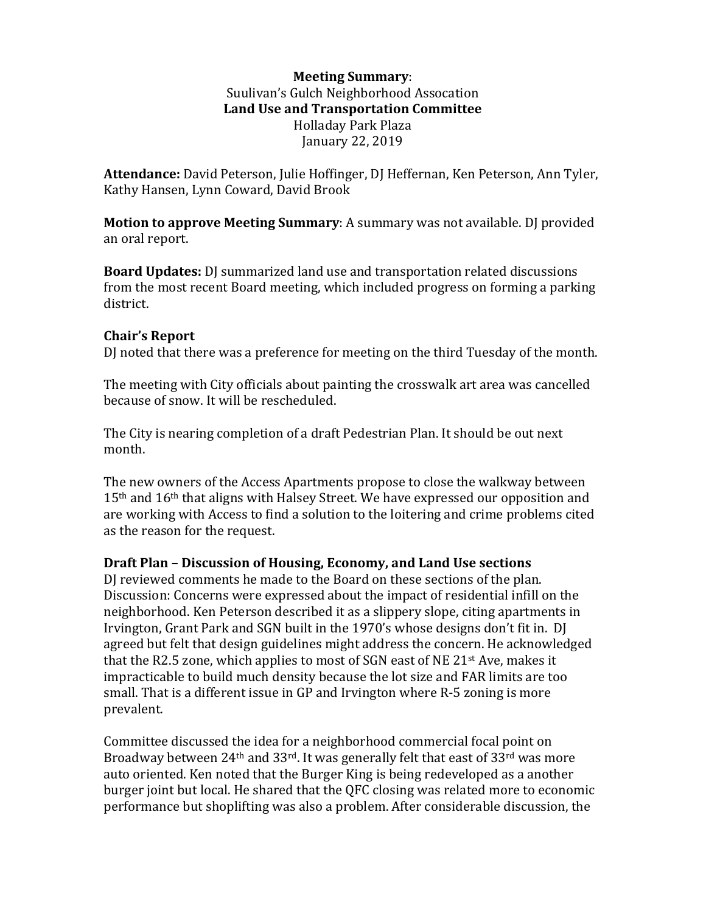## **Meeting Summary**: Suulivan's Gulch Neighborhood Assocation Land Use and Transportation Committee Holladay Park Plaza January 22, 2019

Attendance: David Peterson, Julie Hoffinger, DJ Heffernan, Ken Peterson, Ann Tyler, Kathy Hansen, Lynn Coward, David Brook

**Motion to approve Meeting Summary:** A summary was not available. DJ provided an oral report.

**Board Updates:** DJ summarized land use and transportation related discussions from the most recent Board meeting, which included progress on forming a parking district.

## **Chair's Report**

DJ noted that there was a preference for meeting on the third Tuesday of the month.

The meeting with City officials about painting the crosswalk art area was cancelled because of snow. It will be rescheduled.

The City is nearing completion of a draft Pedestrian Plan. It should be out next month.

The new owners of the Access Apartments propose to close the walkway between  $15<sup>th</sup>$  and  $16<sup>th</sup>$  that aligns with Halsey Street. We have expressed our opposition and are working with Access to find a solution to the loitering and crime problems cited as the reason for the request.

## **Draft Plan – Discussion of Housing, Economy, and Land Use sections**

DJ reviewed comments he made to the Board on these sections of the plan. Discussion: Concerns were expressed about the impact of residential infill on the neighborhood. Ken Peterson described it as a slippery slope, citing apartments in Irvington, Grant Park and SGN built in the 1970's whose designs don't fit in. DJ agreed but felt that design guidelines might address the concern. He acknowledged that the R2.5 zone, which applies to most of SGN east of NE  $21^{st}$  Ave, makes it impracticable to build much density because the lot size and FAR limits are too small. That is a different issue in GP and Irvington where R-5 zoning is more prevalent.

Committee discussed the idea for a neighborhood commercial focal point on Broadway between  $24<sup>th</sup>$  and  $33<sup>rd</sup>$ . It was generally felt that east of  $33<sup>rd</sup>$  was more auto oriented. Ken noted that the Burger King is being redeveloped as a another burger joint but local. He shared that the QFC closing was related more to economic performance but shoplifting was also a problem. After considerable discussion, the